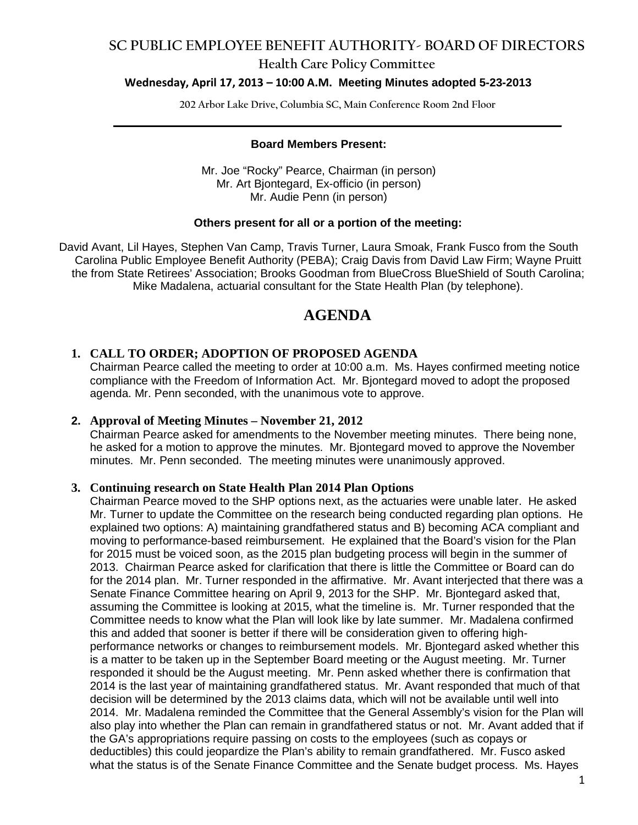#### **Health Care Policy Committee**

#### **Wednesday, April 17, 2013 – 10:00 A.M. Meeting Minutes adopted 5-23-2013**

**202 Arbor Lake Drive, Columbia SC, Main Conference Room 2nd Floor \_\_\_\_\_\_\_\_\_\_\_\_\_\_\_\_\_\_\_\_\_\_\_\_\_\_\_\_\_\_\_\_\_\_\_\_\_\_\_\_\_\_\_\_\_\_\_\_\_\_\_\_\_\_\_\_\_\_\_\_\_\_\_\_\_\_\_\_\_\_\_\_**

#### **Board Members Present:**

Mr. Joe "Rocky" Pearce, Chairman (in person) Mr. Art Bjontegard, Ex-officio (in person) Mr. Audie Penn (in person)

#### **Others present for all or a portion of the meeting:**

David Avant, Lil Hayes, Stephen Van Camp, Travis Turner, Laura Smoak, Frank Fusco from the South Carolina Public Employee Benefit Authority (PEBA); Craig Davis from David Law Firm; Wayne Pruitt the from State Retirees' Association; Brooks Goodman from BlueCross BlueShield of South Carolina; Mike Madalena, actuarial consultant for the State Health Plan (by telephone).

### **AGENDA**

#### **1. CALL TO ORDER; ADOPTION OF PROPOSED AGENDA**

Chairman Pearce called the meeting to order at 10:00 a.m. Ms. Hayes confirmed meeting notice compliance with the Freedom of Information Act. Mr. Bjontegard moved to adopt the proposed agenda. Mr. Penn seconded, with the unanimous vote to approve.

#### **2. Approval of Meeting Minutes – November 21, 2012**

Chairman Pearce asked for amendments to the November meeting minutes. There being none, he asked for a motion to approve the minutes. Mr. Bjontegard moved to approve the November minutes. Mr. Penn seconded. The meeting minutes were unanimously approved.

#### **3. Continuing research on State Health Plan 2014 Plan Options**

Chairman Pearce moved to the SHP options next, as the actuaries were unable later. He asked Mr. Turner to update the Committee on the research being conducted regarding plan options. He explained two options: A) maintaining grandfathered status and B) becoming ACA compliant and moving to performance-based reimbursement. He explained that the Board's vision for the Plan for 2015 must be voiced soon, as the 2015 plan budgeting process will begin in the summer of 2013. Chairman Pearce asked for clarification that there is little the Committee or Board can do for the 2014 plan. Mr. Turner responded in the affirmative. Mr. Avant interjected that there was a Senate Finance Committee hearing on April 9, 2013 for the SHP. Mr. Bjontegard asked that, assuming the Committee is looking at 2015, what the timeline is. Mr. Turner responded that the Committee needs to know what the Plan will look like by late summer. Mr. Madalena confirmed this and added that sooner is better if there will be consideration given to offering highperformance networks or changes to reimbursement models. Mr. Bjontegard asked whether this is a matter to be taken up in the September Board meeting or the August meeting. Mr. Turner responded it should be the August meeting. Mr. Penn asked whether there is confirmation that 2014 is the last year of maintaining grandfathered status. Mr. Avant responded that much of that decision will be determined by the 2013 claims data, which will not be available until well into 2014. Mr. Madalena reminded the Committee that the General Assembly's vision for the Plan will also play into whether the Plan can remain in grandfathered status or not. Mr. Avant added that if the GA's appropriations require passing on costs to the employees (such as copays or deductibles) this could jeopardize the Plan's ability to remain grandfathered. Mr. Fusco asked what the status is of the Senate Finance Committee and the Senate budget process. Ms. Hayes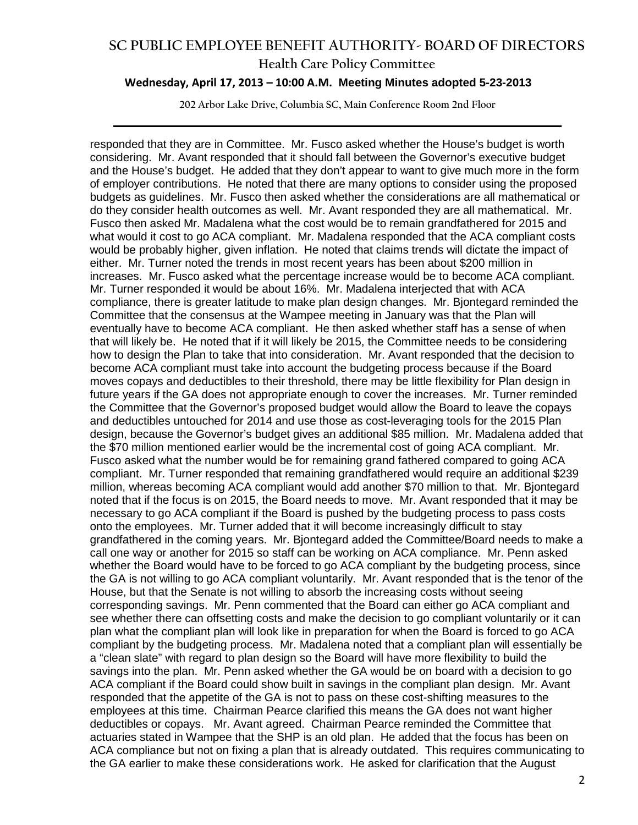#### **Health Care Policy Committee**

#### **Wednesday, April 17, 2013 – 10:00 A.M. Meeting Minutes adopted 5-23-2013**

**202 Arbor Lake Drive, Columbia SC, Main Conference Room 2nd Floor \_\_\_\_\_\_\_\_\_\_\_\_\_\_\_\_\_\_\_\_\_\_\_\_\_\_\_\_\_\_\_\_\_\_\_\_\_\_\_\_\_\_\_\_\_\_\_\_\_\_\_\_\_\_\_\_\_\_\_\_\_\_\_\_\_\_\_\_\_\_\_\_**

responded that they are in Committee. Mr. Fusco asked whether the House's budget is worth considering. Mr. Avant responded that it should fall between the Governor's executive budget and the House's budget. He added that they don't appear to want to give much more in the form of employer contributions. He noted that there are many options to consider using the proposed budgets as guidelines. Mr. Fusco then asked whether the considerations are all mathematical or do they consider health outcomes as well. Mr. Avant responded they are all mathematical. Mr. Fusco then asked Mr. Madalena what the cost would be to remain grandfathered for 2015 and what would it cost to go ACA compliant. Mr. Madalena responded that the ACA compliant costs would be probably higher, given inflation. He noted that claims trends will dictate the impact of either. Mr. Turner noted the trends in most recent years has been about \$200 million in increases. Mr. Fusco asked what the percentage increase would be to become ACA compliant. Mr. Turner responded it would be about 16%. Mr. Madalena interjected that with ACA compliance, there is greater latitude to make plan design changes. Mr. Bjontegard reminded the Committee that the consensus at the Wampee meeting in January was that the Plan will eventually have to become ACA compliant. He then asked whether staff has a sense of when that will likely be. He noted that if it will likely be 2015, the Committee needs to be considering how to design the Plan to take that into consideration. Mr. Avant responded that the decision to become ACA compliant must take into account the budgeting process because if the Board moves copays and deductibles to their threshold, there may be little flexibility for Plan design in future years if the GA does not appropriate enough to cover the increases. Mr. Turner reminded the Committee that the Governor's proposed budget would allow the Board to leave the copays and deductibles untouched for 2014 and use those as cost-leveraging tools for the 2015 Plan design, because the Governor's budget gives an additional \$85 million. Mr. Madalena added that the \$70 million mentioned earlier would be the incremental cost of going ACA compliant. Mr. Fusco asked what the number would be for remaining grand fathered compared to going ACA compliant. Mr. Turner responded that remaining grandfathered would require an additional \$239 million, whereas becoming ACA compliant would add another \$70 million to that. Mr. Bjontegard noted that if the focus is on 2015, the Board needs to move. Mr. Avant responded that it may be necessary to go ACA compliant if the Board is pushed by the budgeting process to pass costs onto the employees. Mr. Turner added that it will become increasingly difficult to stay grandfathered in the coming years. Mr. Bjontegard added the Committee/Board needs to make a call one way or another for 2015 so staff can be working on ACA compliance. Mr. Penn asked whether the Board would have to be forced to go ACA compliant by the budgeting process, since the GA is not willing to go ACA compliant voluntarily. Mr. Avant responded that is the tenor of the House, but that the Senate is not willing to absorb the increasing costs without seeing corresponding savings. Mr. Penn commented that the Board can either go ACA compliant and see whether there can offsetting costs and make the decision to go compliant voluntarily or it can plan what the compliant plan will look like in preparation for when the Board is forced to go ACA compliant by the budgeting process. Mr. Madalena noted that a compliant plan will essentially be a "clean slate" with regard to plan design so the Board will have more flexibility to build the savings into the plan. Mr. Penn asked whether the GA would be on board with a decision to go ACA compliant if the Board could show built in savings in the compliant plan design. Mr. Avant responded that the appetite of the GA is not to pass on these cost-shifting measures to the employees at this time. Chairman Pearce clarified this means the GA does not want higher deductibles or copays. Mr. Avant agreed. Chairman Pearce reminded the Committee that actuaries stated in Wampee that the SHP is an old plan. He added that the focus has been on ACA compliance but not on fixing a plan that is already outdated. This requires communicating to the GA earlier to make these considerations work. He asked for clarification that the August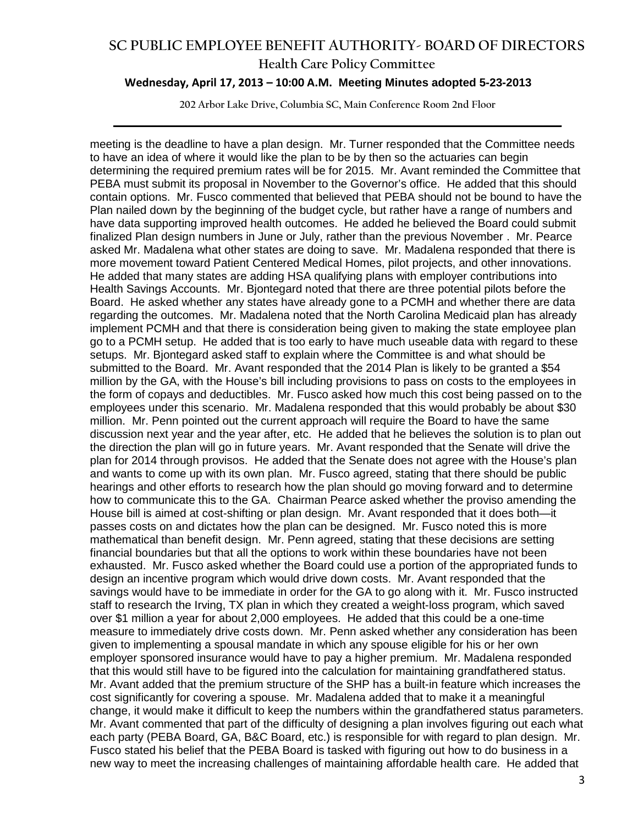#### **Health Care Policy Committee**

#### **Wednesday, April 17, 2013 – 10:00 A.M. Meeting Minutes adopted 5-23-2013**

**202 Arbor Lake Drive, Columbia SC, Main Conference Room 2nd Floor \_\_\_\_\_\_\_\_\_\_\_\_\_\_\_\_\_\_\_\_\_\_\_\_\_\_\_\_\_\_\_\_\_\_\_\_\_\_\_\_\_\_\_\_\_\_\_\_\_\_\_\_\_\_\_\_\_\_\_\_\_\_\_\_\_\_\_\_\_\_\_\_**

meeting is the deadline to have a plan design. Mr. Turner responded that the Committee needs to have an idea of where it would like the plan to be by then so the actuaries can begin determining the required premium rates will be for 2015. Mr. Avant reminded the Committee that PEBA must submit its proposal in November to the Governor's office. He added that this should contain options. Mr. Fusco commented that believed that PEBA should not be bound to have the Plan nailed down by the beginning of the budget cycle, but rather have a range of numbers and have data supporting improved health outcomes. He added he believed the Board could submit finalized Plan design numbers in June or July, rather than the previous November . Mr. Pearce asked Mr. Madalena what other states are doing to save. Mr. Madalena responded that there is more movement toward Patient Centered Medical Homes, pilot projects, and other innovations. He added that many states are adding HSA qualifying plans with employer contributions into Health Savings Accounts. Mr. Bjontegard noted that there are three potential pilots before the Board. He asked whether any states have already gone to a PCMH and whether there are data regarding the outcomes. Mr. Madalena noted that the North Carolina Medicaid plan has already implement PCMH and that there is consideration being given to making the state employee plan go to a PCMH setup. He added that is too early to have much useable data with regard to these setups. Mr. Bjontegard asked staff to explain where the Committee is and what should be submitted to the Board. Mr. Avant responded that the 2014 Plan is likely to be granted a \$54 million by the GA, with the House's bill including provisions to pass on costs to the employees in the form of copays and deductibles. Mr. Fusco asked how much this cost being passed on to the employees under this scenario. Mr. Madalena responded that this would probably be about \$30 million. Mr. Penn pointed out the current approach will require the Board to have the same discussion next year and the year after, etc. He added that he believes the solution is to plan out the direction the plan will go in future years. Mr. Avant responded that the Senate will drive the plan for 2014 through provisos. He added that the Senate does not agree with the House's plan and wants to come up with its own plan. Mr. Fusco agreed, stating that there should be public hearings and other efforts to research how the plan should go moving forward and to determine how to communicate this to the GA. Chairman Pearce asked whether the proviso amending the House bill is aimed at cost-shifting or plan design. Mr. Avant responded that it does both—it passes costs on and dictates how the plan can be designed. Mr. Fusco noted this is more mathematical than benefit design. Mr. Penn agreed, stating that these decisions are setting financial boundaries but that all the options to work within these boundaries have not been exhausted. Mr. Fusco asked whether the Board could use a portion of the appropriated funds to design an incentive program which would drive down costs. Mr. Avant responded that the savings would have to be immediate in order for the GA to go along with it. Mr. Fusco instructed staff to research the Irving, TX plan in which they created a weight-loss program, which saved over \$1 million a year for about 2,000 employees. He added that this could be a one-time measure to immediately drive costs down. Mr. Penn asked whether any consideration has been given to implementing a spousal mandate in which any spouse eligible for his or her own employer sponsored insurance would have to pay a higher premium. Mr. Madalena responded that this would still have to be figured into the calculation for maintaining grandfathered status. Mr. Avant added that the premium structure of the SHP has a built-in feature which increases the cost significantly for covering a spouse. Mr. Madalena added that to make it a meaningful change, it would make it difficult to keep the numbers within the grandfathered status parameters. Mr. Avant commented that part of the difficulty of designing a plan involves figuring out each what each party (PEBA Board, GA, B&C Board, etc.) is responsible for with regard to plan design. Mr. Fusco stated his belief that the PEBA Board is tasked with figuring out how to do business in a new way to meet the increasing challenges of maintaining affordable health care. He added that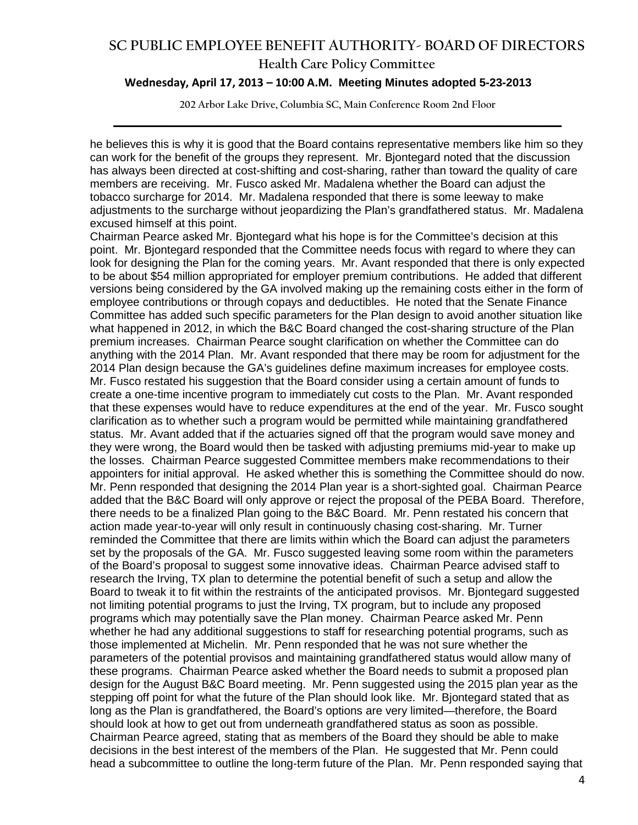#### **Health Care Policy Committee**

#### **Wednesday, April 17, 2013 – 10:00 A.M. Meeting Minutes adopted 5-23-2013**

**202 Arbor Lake Drive, Columbia SC, Main Conference Room 2nd Floor \_\_\_\_\_\_\_\_\_\_\_\_\_\_\_\_\_\_\_\_\_\_\_\_\_\_\_\_\_\_\_\_\_\_\_\_\_\_\_\_\_\_\_\_\_\_\_\_\_\_\_\_\_\_\_\_\_\_\_\_\_\_\_\_\_\_\_\_\_\_\_\_**

he believes this is why it is good that the Board contains representative members like him so they can work for the benefit of the groups they represent. Mr. Bjontegard noted that the discussion has always been directed at cost-shifting and cost-sharing, rather than toward the quality of care members are receiving. Mr. Fusco asked Mr. Madalena whether the Board can adjust the tobacco surcharge for 2014. Mr. Madalena responded that there is some leeway to make adjustments to the surcharge without jeopardizing the Plan's grandfathered status. Mr. Madalena excused himself at this point.

Chairman Pearce asked Mr. Bjontegard what his hope is for the Committee's decision at this point. Mr. Bjontegard responded that the Committee needs focus with regard to where they can look for designing the Plan for the coming years. Mr. Avant responded that there is only expected to be about \$54 million appropriated for employer premium contributions. He added that different versions being considered by the GA involved making up the remaining costs either in the form of employee contributions or through copays and deductibles. He noted that the Senate Finance Committee has added such specific parameters for the Plan design to avoid another situation like what happened in 2012, in which the B&C Board changed the cost-sharing structure of the Plan premium increases. Chairman Pearce sought clarification on whether the Committee can do anything with the 2014 Plan. Mr. Avant responded that there may be room for adjustment for the 2014 Plan design because the GA's guidelines define maximum increases for employee costs. Mr. Fusco restated his suggestion that the Board consider using a certain amount of funds to create a one-time incentive program to immediately cut costs to the Plan. Mr. Avant responded that these expenses would have to reduce expenditures at the end of the year. Mr. Fusco sought clarification as to whether such a program would be permitted while maintaining grandfathered status. Mr. Avant added that if the actuaries signed off that the program would save money and they were wrong, the Board would then be tasked with adjusting premiums mid-year to make up the losses. Chairman Pearce suggested Committee members make recommendations to their appointers for initial approval. He asked whether this is something the Committee should do now. Mr. Penn responded that designing the 2014 Plan year is a short-sighted goal. Chairman Pearce added that the B&C Board will only approve or reject the proposal of the PEBA Board. Therefore, there needs to be a finalized Plan going to the B&C Board. Mr. Penn restated his concern that action made year-to-year will only result in continuously chasing cost-sharing. Mr. Turner reminded the Committee that there are limits within which the Board can adjust the parameters set by the proposals of the GA. Mr. Fusco suggested leaving some room within the parameters of the Board's proposal to suggest some innovative ideas. Chairman Pearce advised staff to research the Irving, TX plan to determine the potential benefit of such a setup and allow the Board to tweak it to fit within the restraints of the anticipated provisos. Mr. Bjontegard suggested not limiting potential programs to just the Irving, TX program, but to include any proposed programs which may potentially save the Plan money. Chairman Pearce asked Mr. Penn whether he had any additional suggestions to staff for researching potential programs, such as those implemented at Michelin. Mr. Penn responded that he was not sure whether the parameters of the potential provisos and maintaining grandfathered status would allow many of these programs. Chairman Pearce asked whether the Board needs to submit a proposed plan design for the August B&C Board meeting. Mr. Penn suggested using the 2015 plan year as the stepping off point for what the future of the Plan should look like. Mr. Bjontegard stated that as long as the Plan is grandfathered, the Board's options are very limited—therefore, the Board should look at how to get out from underneath grandfathered status as soon as possible. Chairman Pearce agreed, stating that as members of the Board they should be able to make decisions in the best interest of the members of the Plan. He suggested that Mr. Penn could head a subcommittee to outline the long-term future of the Plan. Mr. Penn responded saying that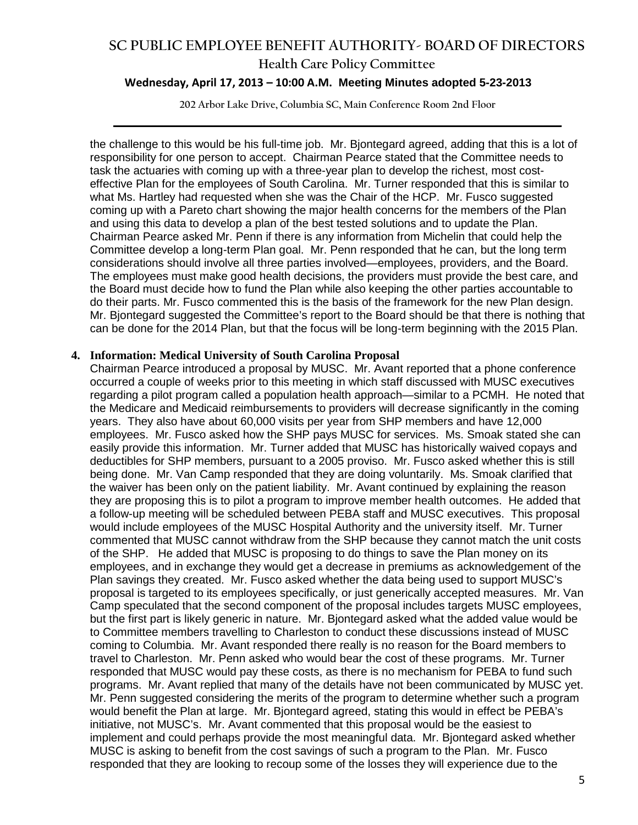#### **Health Care Policy Committee**

#### **Wednesday, April 17, 2013 – 10:00 A.M. Meeting Minutes adopted 5-23-2013**

**202 Arbor Lake Drive, Columbia SC, Main Conference Room 2nd Floor \_\_\_\_\_\_\_\_\_\_\_\_\_\_\_\_\_\_\_\_\_\_\_\_\_\_\_\_\_\_\_\_\_\_\_\_\_\_\_\_\_\_\_\_\_\_\_\_\_\_\_\_\_\_\_\_\_\_\_\_\_\_\_\_\_\_\_\_\_\_\_\_**

the challenge to this would be his full-time job. Mr. Bjontegard agreed, adding that this is a lot of responsibility for one person to accept. Chairman Pearce stated that the Committee needs to task the actuaries with coming up with a three-year plan to develop the richest, most costeffective Plan for the employees of South Carolina. Mr. Turner responded that this is similar to what Ms. Hartley had requested when she was the Chair of the HCP. Mr. Fusco suggested coming up with a Pareto chart showing the major health concerns for the members of the Plan and using this data to develop a plan of the best tested solutions and to update the Plan. Chairman Pearce asked Mr. Penn if there is any information from Michelin that could help the Committee develop a long-term Plan goal. Mr. Penn responded that he can, but the long term considerations should involve all three parties involved—employees, providers, and the Board. The employees must make good health decisions, the providers must provide the best care, and the Board must decide how to fund the Plan while also keeping the other parties accountable to do their parts. Mr. Fusco commented this is the basis of the framework for the new Plan design. Mr. Bjontegard suggested the Committee's report to the Board should be that there is nothing that can be done for the 2014 Plan, but that the focus will be long-term beginning with the 2015 Plan.

#### **4. Information: Medical University of South Carolina Proposal**

Chairman Pearce introduced a proposal by MUSC. Mr. Avant reported that a phone conference occurred a couple of weeks prior to this meeting in which staff discussed with MUSC executives regarding a pilot program called a population health approach—similar to a PCMH. He noted that the Medicare and Medicaid reimbursements to providers will decrease significantly in the coming years. They also have about 60,000 visits per year from SHP members and have 12,000 employees. Mr. Fusco asked how the SHP pays MUSC for services. Ms. Smoak stated she can easily provide this information. Mr. Turner added that MUSC has historically waived copays and deductibles for SHP members, pursuant to a 2005 proviso. Mr. Fusco asked whether this is still being done. Mr. Van Camp responded that they are doing voluntarily. Ms. Smoak clarified that the waiver has been only on the patient liability. Mr. Avant continued by explaining the reason they are proposing this is to pilot a program to improve member health outcomes. He added that a follow-up meeting will be scheduled between PEBA staff and MUSC executives. This proposal would include employees of the MUSC Hospital Authority and the university itself. Mr. Turner commented that MUSC cannot withdraw from the SHP because they cannot match the unit costs of the SHP. He added that MUSC is proposing to do things to save the Plan money on its employees, and in exchange they would get a decrease in premiums as acknowledgement of the Plan savings they created. Mr. Fusco asked whether the data being used to support MUSC's proposal is targeted to its employees specifically, or just generically accepted measures. Mr. Van Camp speculated that the second component of the proposal includes targets MUSC employees, but the first part is likely generic in nature. Mr. Bjontegard asked what the added value would be to Committee members travelling to Charleston to conduct these discussions instead of MUSC coming to Columbia. Mr. Avant responded there really is no reason for the Board members to travel to Charleston. Mr. Penn asked who would bear the cost of these programs. Mr. Turner responded that MUSC would pay these costs, as there is no mechanism for PEBA to fund such programs. Mr. Avant replied that many of the details have not been communicated by MUSC yet. Mr. Penn suggested considering the merits of the program to determine whether such a program would benefit the Plan at large. Mr. Bjontegard agreed, stating this would in effect be PEBA's initiative, not MUSC's. Mr. Avant commented that this proposal would be the easiest to implement and could perhaps provide the most meaningful data. Mr. Bjontegard asked whether MUSC is asking to benefit from the cost savings of such a program to the Plan. Mr. Fusco responded that they are looking to recoup some of the losses they will experience due to the